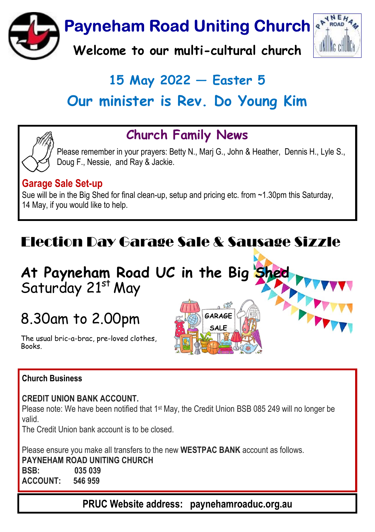

# $15$  May 2022  $-$  Easter 5 Our minister is Rev. Do Young Kim

## Church Family News

Please remember in your prayers: Betty N., Marj G., John & Heather, Dennis H., Lyle S., Doug F., Nessie, and Ray & Jackie.

> GARAGE **SALF**

#### Garage Sale Set-up

Sue will be in the Big Shed for final clean-up, setup and pricing etc. from ~1.30pm this Saturday, 14 May, if you would like to help.

# Election Day Garage Sale & Sausage Sizzle

## At Payneham Road UC in the Big Shed Saturday 21st May

# 8.30am to 2.00pm

The usual bric-a-brac, pre-loved clothes, **Books** 

#### Church Business

#### CREDIT UNION BANK ACCOUNT.

Please note: We have been notified that 1<sup>st</sup> May, the Credit Union BSB 085 249 will no longer be valid.

The Credit Union bank account is to be closed.

Please ensure you make all transfers to the new WESTPAC BANK account as follows. PAYNEHAM ROAD UNITING CHURCH BSB: 035 039 ACCOUNT: 546 959

PRUC Website address: paynehamroaduc.org.au